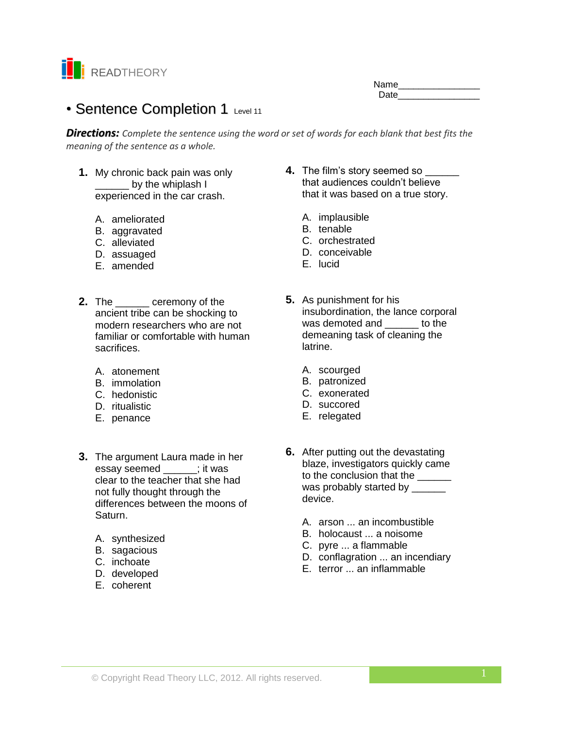

Name\_\_\_\_\_\_\_\_\_\_\_\_\_\_\_\_ Date **Date** 

# • Sentence Completion 1 Level 11

*Directions: Complete the sentence using the word or set of words for each blank that best fits the meaning of the sentence as a whole.*

- **1.** My chronic back pain was only by the whiplash I experienced in the car crash.
	- A. ameliorated
	- B. aggravated
	- C. alleviated
	- D. assuaged
	- E. amended
- **2.** The \_\_\_\_\_\_ ceremony of the ancient tribe can be shocking to modern researchers who are not familiar or comfortable with human sacrifices.
	- A. atonement
	- B. immolation
	- C. hedonistic
	- D. ritualistic
	- E. penance
- **3.** The argument Laura made in her essay seemed \_\_\_\_\_\_; it was clear to the teacher that she had not fully thought through the differences between the moons of Saturn.
	- A. synthesized
	- B. sagacious
	- C. inchoate
	- D. developed
	- E. coherent
- **4.** The film's story seemed so \_\_\_\_\_\_ that audiences couldn't believe that it was based on a true story.
	- A. implausible
	- B. tenable
	- C. orchestrated
	- D. conceivable
	- E. lucid
- **5.** As punishment for his insubordination, the lance corporal was demoted and but to the demeaning task of cleaning the latrine.
	- A. scourged
	- B. patronized
	- C. exonerated
	- D. succored
	- E. relegated
- **6.** After putting out the devastating blaze, investigators quickly came to the conclusion that the \_\_\_\_\_\_ was probably started by \_\_\_\_\_\_\_ device.
	- A. arson ... an incombustible
	- B. holocaust ... a noisome
	- C. pyre ... a flammable
	- D. conflagration ... an incendiary
	- E. terror ... an inflammable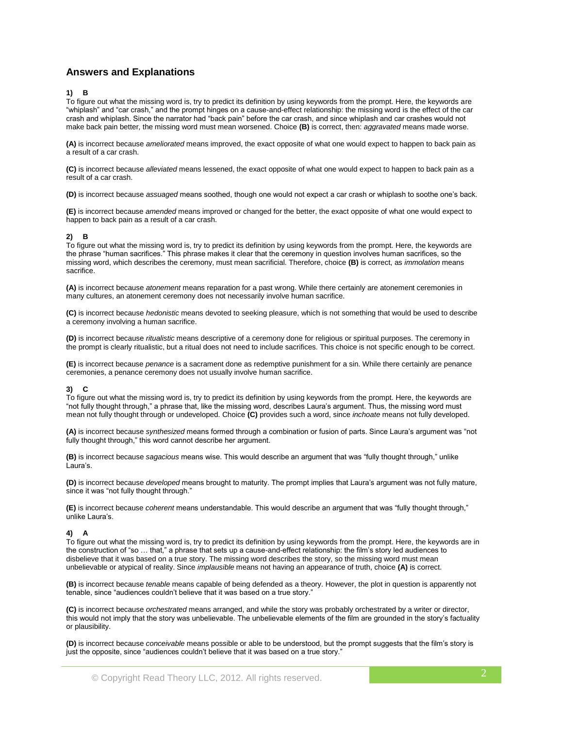# **Answers and Explanations**

## **1) B**

To figure out what the missing word is, try to predict its definition by using keywords from the prompt. Here, the keywords are "whiplash" and "car crash," and the prompt hinges on a cause-and-effect relationship: the missing word is the effect of the car crash and whiplash. Since the narrator had "back pain" before the car crash, and since whiplash and car crashes would not make back pain better, the missing word must mean worsened. Choice **(B)** is correct, then: *aggravated* means made worse.

**(A)** is incorrect because *ameliorated* means improved, the exact opposite of what one would expect to happen to back pain as a result of a car crash.

**(C)** is incorrect because *alleviated* means lessened, the exact opposite of what one would expect to happen to back pain as a result of a car crash.

**(D)** is incorrect because *assuaged* means soothed, though one would not expect a car crash or whiplash to soothe one's back.

**(E)** is incorrect because *amended* means improved or changed for the better, the exact opposite of what one would expect to happen to back pain as a result of a car crash.

# **2) B**

To figure out what the missing word is, try to predict its definition by using keywords from the prompt. Here, the keywords are the phrase "human sacrifices." This phrase makes it clear that the ceremony in question involves human sacrifices, so the missing word, which describes the ceremony, must mean sacrificial. Therefore, choice **(B)** is correct, as *immolation* means sacrifice.

**(A)** is incorrect because *atonement* means reparation for a past wrong. While there certainly are atonement ceremonies in many cultures, an atonement ceremony does not necessarily involve human sacrifice.

**(C)** is incorrect because *hedonistic* means devoted to seeking pleasure, which is not something that would be used to describe a ceremony involving a human sacrifice.

**(D)** is incorrect because *ritualistic* means descriptive of a ceremony done for religious or spiritual purposes. The ceremony in the prompt is clearly ritualistic, but a ritual does not need to include sacrifices. This choice is not specific enough to be correct.

**(E)** is incorrect because *penance* is a sacrament done as redemptive punishment for a sin. While there certainly are penance ceremonies, a penance ceremony does not usually involve human sacrifice.

#### **3) C**

To figure out what the missing word is, try to predict its definition by using keywords from the prompt. Here, the keywords are "not fully thought through," a phrase that, like the missing word, describes Laura's argument. Thus, the missing word must mean not fully thought through or undeveloped. Choice **(C)** provides such a word, since *inchoate* means not fully developed.

**(A)** is incorrect because *synthesized* means formed through a combination or fusion of parts. Since Laura's argument was "not fully thought through," this word cannot describe her argument.

**(B)** is incorrect because *sagacious* means wise. This would describe an argument that was "fully thought through," unlike Laura's.

**(D)** is incorrect because *developed* means brought to maturity. The prompt implies that Laura's argument was not fully mature, since it was "not fully thought through."

**(E)** is incorrect because *coherent* means understandable. This would describe an argument that was "fully thought through," unlike Laura's.

#### **4) A**

To figure out what the missing word is, try to predict its definition by using keywords from the prompt. Here, the keywords are in the construction of "so … that," a phrase that sets up a cause-and-effect relationship: the film's story led audiences to disbelieve that it was based on a true story. The missing word describes the story, so the missing word must mean unbelievable or atypical of reality. Since *implausible* means not having an appearance of truth, choice **(A)** is correct.

**(B)** is incorrect because *tenable* means capable of being defended as a theory. However, the plot in question is apparently not tenable, since "audiences couldn't believe that it was based on a true story."

**(C)** is incorrect because *orchestrated* means arranged, and while the story was probably orchestrated by a writer or director, this would not imply that the story was unbelievable. The unbelievable elements of the film are grounded in the story's factuality or plausibility.

**(D)** is incorrect because *conceivable* means possible or able to be understood, but the prompt suggests that the film's story is just the opposite, since "audiences couldn't believe that it was based on a true story."